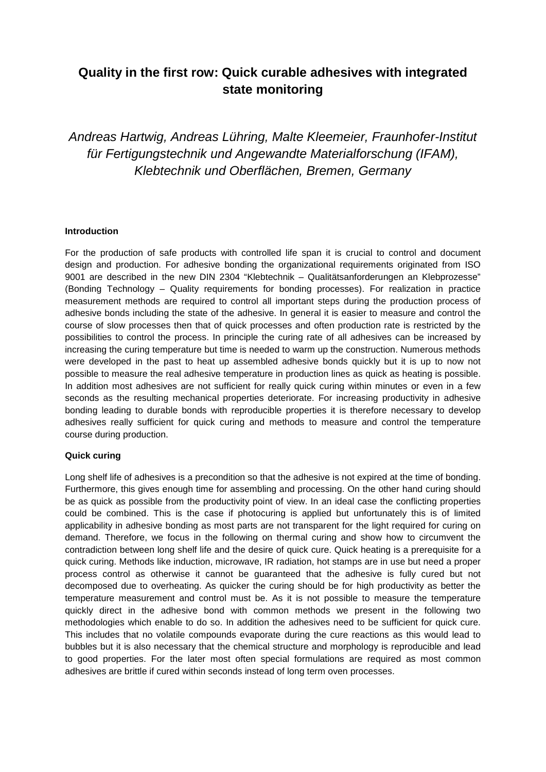# **Quality in the first row: Quick curable adhesives with integrated state monitoring**

*Andreas Hartwig, Andreas Lühring, Malte Kleemeier, Fraunhofer-Institut für Fertigungstechnik und Angewandte Materialforschung (IFAM), Klebtechnik und Oberflächen, Bremen, Germany*

#### **Introduction**

For the production of safe products with controlled life span it is crucial to control and document design and production. For adhesive bonding the organizational requirements originated from ISO 9001 are described in the new DIN 2304 "Klebtechnik – Qualitätsanforderungen an Klebprozesse" (Bonding Technology – Quality requirements for bonding processes). For realization in practice measurement methods are required to control all important steps during the production process of adhesive bonds including the state of the adhesive. In general it is easier to measure and control the course of slow processes then that of quick processes and often production rate is restricted by the possibilities to control the process. In principle the curing rate of all adhesives can be increased by increasing the curing temperature but time is needed to warm up the construction. Numerous methods were developed in the past to heat up assembled adhesive bonds quickly but it is up to now not possible to measure the real adhesive temperature in production lines as quick as heating is possible. In addition most adhesives are not sufficient for really quick curing within minutes or even in a few seconds as the resulting mechanical properties deteriorate. For increasing productivity in adhesive bonding leading to durable bonds with reproducible properties it is therefore necessary to develop adhesives really sufficient for quick curing and methods to measure and control the temperature course during production.

#### **Quick curing**

Long shelf life of adhesives is a precondition so that the adhesive is not expired at the time of bonding. Furthermore, this gives enough time for assembling and processing. On the other hand curing should be as quick as possible from the productivity point of view. In an ideal case the conflicting properties could be combined. This is the case if photocuring is applied but unfortunately this is of limited applicability in adhesive bonding as most parts are not transparent for the light required for curing on demand. Therefore, we focus in the following on thermal curing and show how to circumvent the contradiction between long shelf life and the desire of quick cure. Quick heating is a prerequisite for a quick curing. Methods like induction, microwave, IR radiation, hot stamps are in use but need a proper process control as otherwise it cannot be guaranteed that the adhesive is fully cured but not decomposed due to overheating. As quicker the curing should be for high productivity as better the temperature measurement and control must be. As it is not possible to measure the temperature quickly direct in the adhesive bond with common methods we present in the following two methodologies which enable to do so. In addition the adhesives need to be sufficient for quick cure. This includes that no volatile compounds evaporate during the cure reactions as this would lead to bubbles but it is also necessary that the chemical structure and morphology is reproducible and lead to good properties. For the later most often special formulations are required as most common adhesives are brittle if cured within seconds instead of long term oven processes.